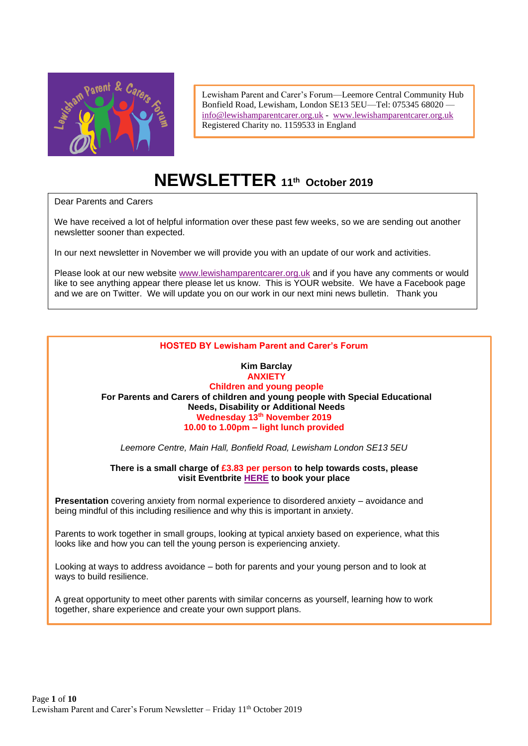

Lewisham Parent and Carer's Forum—Leemore Central Community Hub Bonfield Road, Lewisham, London SE13 5EU—Tel: 075345 68020 [info@lewishamparentcarer.org.uk](mailto:info@lewishamparentcarer.org.uk) - [www.lewishamparentcarer.org.uk](http://www.lewishamparentcarer.org.uk/) Registered Charity no. 1159533 in England

# **NEWSLETTER 11th October 2019**

Dear Parents and Carers

We have received a lot of helpful information over these past few weeks, so we are sending out another newsletter sooner than expected.

In our next newsletter in November we will provide you with an update of our work and activities.

Please look at our new website [www.lewishamparentcarer.org.uk](http://www.lewishamparentcarer.org.uk/) and if you have any comments or would like to see anything appear there please let us know. This is YOUR website. We have a Facebook page and we are on Twitter. We will update you on our work in our next mini news bulletin. Thank you

#### **HOSTED BY Lewisham Parent and Carer's Forum**

#### **Kim Barclay ANXIETY Children and young people For Parents and Carers of children and young people with Special Educational Needs, Disability or Additional Needs Wednesday 13th November 2019 10.00 to 1.00pm – light lunch provided**

*Leemore Centre, Main Hall, Bonfield Road, Lewisham London SE13 5EU*

**There is a small charge of £3.83 per person to help towards costs, please visit Eventbrite [HERE](https://www.eventbrite.co.uk/e/anxiety-children-and-young-people-with-additional-needs-andor-disabilities-tickets-70898287687) to book your place**

**Presentation** covering anxiety from normal experience to disordered anxiety – avoidance and being mindful of this including resilience and why this is important in anxiety.

Parents to work together in small groups, looking at typical anxiety based on experience, what this looks like and how you can tell the young person is experiencing anxiety.

Looking at ways to address avoidance – both for parents and your young person and to look at ways to build resilience.

A great opportunity to meet other parents with similar concerns as yourself, learning how to work together, share experience and create your own support plans.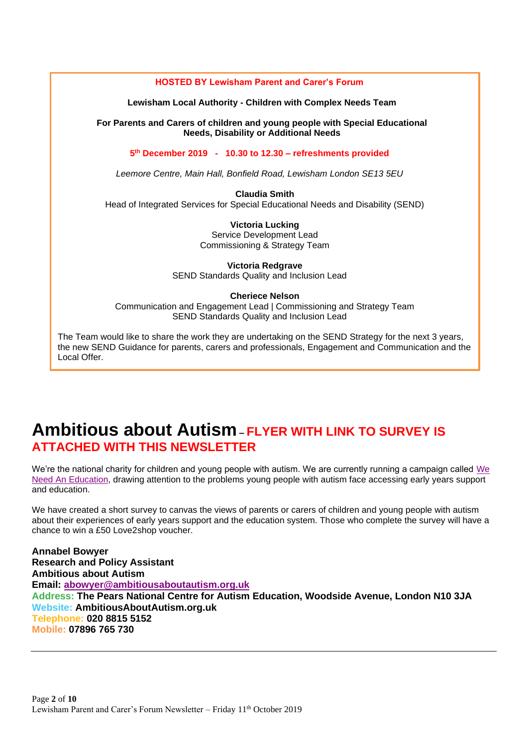

# **Ambitious about Autism– FLYER WITH LINK TO SURVEY IS ATTACHED WITH THIS NEWSLETTER**

We're the national charity for children and young people with autism. [We](https://www.ambitiousaboutautism.org.uk/we-need-an-education) are currently running a campaign called We [Need An Education,](https://www.ambitiousaboutautism.org.uk/we-need-an-education) drawing attention to the problems young people with autism face accessing early years support and education.

We have created a short survey to canvas the views of parents or carers of children and young people with autism about their experiences of early years support and the education system. Those who complete the survey will have a chance to win a £50 Love2shop voucher.

**Annabel Bowyer Research and Policy Assistant Ambitious about Autism Email: [abowyer@ambitiousaboutautism.org.uk](mailto:abowyer@ambitiousaboutautism.org.uk) Address: The Pears National Centre for Autism Education, Woodside Avenue, London N10 3JA Website: AmbitiousAboutAutism.org.uk Telephone: 020 8815 5152 Mobile: 07896 765 730**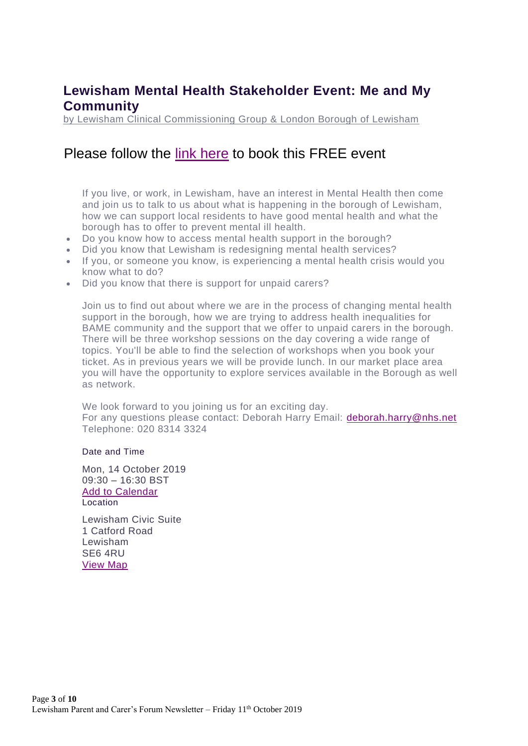### **Lewisham Mental Health Stakeholder Event: Me and My Community**

[by Lewisham Clinical Commissioning Group & London Borough of Lewisham](https://www.eventbrite.co.uk/e/lewisham-mental-health-stakeholder-event-me-and-my-community-tickets-72248203321?utm_source=London%20Borough%20of%20Lewisham&utm_medium=email&utm_campaign=10964142_LL%2010%20October%202019%20-%20children%20%28general%29&utm_content=OtherMentalHealthEvent&dm_i=402,6IZZI,V78CTO,PXLI4,1#listing-organizer) 

## Please follow the [link here](https://www.eventbrite.co.uk/e/lewisham-mental-health-stakeholder-event-me-and-my-community-tickets-72248203321?utm_source=London%20Borough%20of%20Lewisham&utm_medium=email&utm_campaign=10964142_LL%2010%20October%202019%20-%20children%20%28general%29&utm_content=OtherMentalHealthEvent&dm_i=402,6IZZI,V78CTO,PXLI4,1) to book this FREE event

If you live, or work, in Lewisham, have an interest in Mental Health then come and join us to talk to us about what is happening in the borough of Lewisham, how we can support local residents to have good mental health and what the borough has to offer to prevent mental ill health.

- Do you know how to access mental health support in the borough?
- Did you know that Lewisham is redesigning mental health services?
- If you, or someone you know, is experiencing a mental health crisis would you know what to do?
- Did you know that there is support for unpaid carers?

Join us to find out about where we are in the process of changing mental health support in the borough, how we are trying to address health inequalities for BAME community and the support that we offer to unpaid carers in the borough. There will be three workshop sessions on the day covering a wide range of topics. You'll be able to find the selection of workshops when you book your ticket. As in previous years we will be provide lunch. In our market place area you will have the opportunity to explore services available in the Borough as well as network.

We look forward to you joining us for an exciting day. For any questions please contact: Deborah Harry Email: [deborah.harry@nhs.net](mailto:deborah.harry@nhs.net) Telephone: 020 8314 3324

#### Date and Time

Mon, 14 October 2019 09:30 – 16:30 BST [Add to Calendar](https://www.eventbrite.co.uk/e/lewisham-mental-health-stakeholder-event-me-and-my-community-tickets-72248203321?utm_source=London%20Borough%20of%20Lewisham&utm_medium=email&utm_campaign=10964142_LL%2010%20October%202019%20-%20children%20%28general%29&utm_content=OtherMentalHealthEvent&dm_i=402,6IZZI,V78CTO,PXLI4,1#add-to-calendar-modal) Location

Lewisham Civic Suite 1 Catford Road Lewisham SE6 4RU [View Map](https://www.eventbrite.co.uk/e/lewisham-mental-health-stakeholder-event-me-and-my-community-tickets-72248203321?utm_source=London%20Borough%20of%20Lewisham&utm_medium=email&utm_campaign=10964142_LL%2010%20October%202019%20-%20children%20%28general%29&utm_content=OtherMentalHealthEvent&dm_i=402,6IZZI,V78CTO,PXLI4,1#map-target)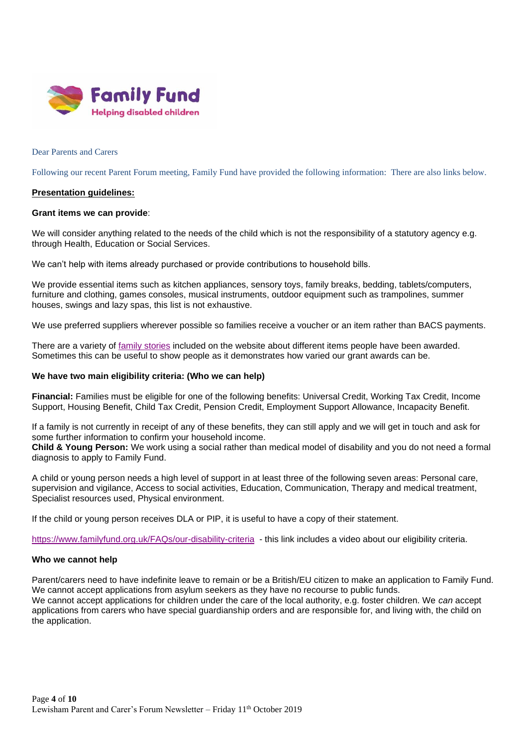

Dear Parents and Carers

Following our recent Parent Forum meeting, Family Fund have provided the following information: There are also links below.

#### **Presentation guidelines:**

#### **Grant items we can provide**:

We will consider anything related to the needs of the child which is not the responsibility of a statutory agency e.g. through Health, Education or Social Services.

We can't help with items already purchased or provide contributions to household bills.

We provide essential items such as kitchen appliances, sensory toys, family breaks, bedding, tablets/computers, furniture and clothing, games consoles, musical instruments, outdoor equipment such as trampolines, summer houses, swings and lazy spas, this list is not exhaustive.

We use preferred suppliers wherever possible so families receive a voucher or an item rather than BACS payments.

There are a variety of [family stories](https://www.familyfund.org.uk/Blogs/family-stories) included on the website about different items people have been awarded. Sometimes this can be useful to show people as it demonstrates how varied our grant awards can be.

#### **We have two main eligibility criteria: (Who we can help)**

**Financial:** Families must be eligible for one of the following benefits: Universal Credit, Working Tax Credit, Income Support, Housing Benefit, Child Tax Credit, Pension Credit, Employment Support Allowance, Incapacity Benefit.

If a family is not currently in receipt of any of these benefits, they can still apply and we will get in touch and ask for some further information to confirm your household income.

**Child & Young Person:** We work using a social rather than medical model of disability and you do not need a formal diagnosis to apply to Family Fund.

A child or young person needs a high level of support in at least three of the following seven areas: Personal care, supervision and vigilance, Access to social activities, Education, Communication, Therapy and medical treatment, Specialist resources used, Physical environment.

If the child or young person receives DLA or PIP, it is useful to have a copy of their statement.

<https://www.familyfund.org.uk/FAQs/our-disability-criteria>- this link includes a video about our eligibility criteria.

#### **Who we cannot help**

Parent/carers need to have indefinite leave to remain or be a British/EU citizen to make an application to Family Fund. We cannot accept applications from asylum seekers as they have no recourse to public funds. We cannot accept applications for children under the care of the local authority, e.g. foster children. We *can* accept applications from carers who have special guardianship orders and are responsible for, and living with, the child on the application.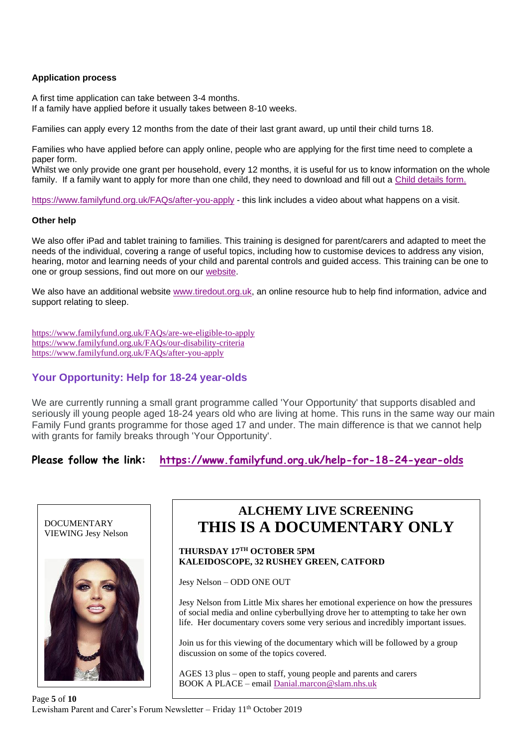#### **Application process**

A first time application can take between 3-4 months. If a family have applied before it usually takes between 8-10 weeks.

Families can apply every 12 months from the date of their last grant award, up until their child turns 18.

Families who have applied before can apply online, people who are applying for the first time need to complete a paper form.

Whilst we only provide one grant per household, every 12 months, it is useful for us to know information on the whole family. If a family want to apply for more than one child, they need to download and fill out a [Child details form.](https://www.familyfund.org.uk/Handlers/Download.ashx?IDMF=df254aa1-d7c2-4c6b-bdb4-5e5f18cce708) 

<https://www.familyfund.org.uk/FAQs/after-you-apply> - this link includes a video about what happens on a visit.

#### **Other help**

We also offer iPad and tablet training to families. This training is designed for parent/carers and adapted to meet the needs of the individual, covering a range of useful topics, including how to customise devices to address any vision, hearing, motor and learning needs of your child and parental controls and guided access. This training can be one to one or group sessions, find out more on our [website.](https://www.familyfund.org.uk/digital)

We also have an additional website [www.tiredout.org.uk,](http://www.tiredout.org.uk/) an online resource hub to help find information, advice and support relating to sleep.

<https://www.familyfund.org.uk/FAQs/are-we-eligible-to-apply> <https://www.familyfund.org.uk/FAQs/our-disability-criteria> <https://www.familyfund.org.uk/FAQs/after-you-apply>

#### **Your Opportunity: Help for 18-24 year-olds**

We are currently running a small grant programme called 'Your Opportunity' that supports disabled and seriously ill young people aged 18-24 years old who are living at home. This runs in the same way our main Family Fund grants programme for those aged 17 and under. The main difference is that we cannot help with grants for family breaks through 'Your Opportunity'.

**Please follow the link: <https://www.familyfund.org.uk/help-for-18-24-year-olds>**



## **ALCHEMY LIVE SCREENING THIS IS A DOCUMENTARY ONLY**

#### **THURSDAY 17TH OCTOBER 5PM KALEIDOSCOPE, 32 RUSHEY GREEN, CATFORD**

Jesy Nelson – ODD ONE OUT

Jesy Nelson from Little Mix shares her emotional experience on how the pressures of social media and online cyberbullying drove her to attempting to take her own life. Her documentary covers some very serious and incredibly important issues.

Join us for this viewing of the documentary which will be followed by a group discussion on some of the topics covered.

AGES 13 plus – open to staff, young people and parents and carers BOOK A PLACE – email [Danial.marcon@slam.nhs.uk](mailto:Danial.marcon@slam.nhs.uk)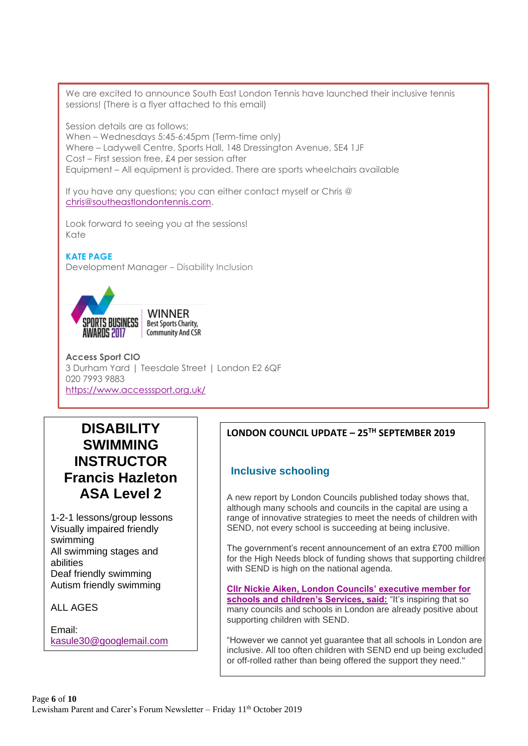We are excited to announce South East London Tennis have launched their inclusive tennis sessions! (There is a flyer attached to this email)

Session details are as follows; When – Wednesdays 5:45-6:45pm (Term-time only) Where – Ladywell Centre, Sports Hall, 148 Dressington Avenue, SE4 1JF Cost – First session free, £4 per session after Equipment – All equipment is provided. There are sports wheelchairs available

If you have any questions; you can either contact myself or Chris @ [chris@southeastlondontennis.com.](mailto:chris@southeastlondontennis.com)

Look forward to seeing you at the sessions! Kate

#### **KATE PAGE**

Development Manager – Disability Inclusion





**Access Sport CIO** 3 Durham Yard | Teesdale Street | London E2 6QF 020 7993 9883 <https://www.accesssport.org.uk/>

## **DISABILITY SWIMMING INSTRUCTOR Francis Hazleton ASA Level 2**

1-2-1 lessons/group lessons Visually impaired friendly swimming All swimming stages and abilities Deaf friendly swimming Autism friendly swimming

ALL AGES

Email: [kasule30@googlemail.com](mailto:kasule30@googlemail.com)

Mobile: 07789374691

#### **LONDON COUNCIL UPDATE – 25TH SEPTEMBER 2019**

#### **Inclusive schooling**

A new report by London Councils published today shows that, although many schools and councils in the capital are using a range of innovative strategies to meet the needs of children with SEND, not every school is succeeding at being inclusive.

The government's recent announcement of an extra £700 million for the High Needs block of funding shows that supporting children with SEND is high on the national agenda.

**[Cllr Nickie Aiken, London Councils' executive member for](https://your.londoncouncils.gov.uk/192K-6HVYH-V2BC0Q-3RGHHC-1/c.aspx)  [schools and children's Services, said:](https://your.londoncouncils.gov.uk/192K-6HVYH-V2BC0Q-3RGHHC-1/c.aspx)** "It's inspiring that so many councils and schools in London are already positive about supporting children with SEND.

"However we cannot yet guarantee that all schools in London are inclusive. All too often children with SEND end up being excluded or off-rolled rather than being offered the support they need."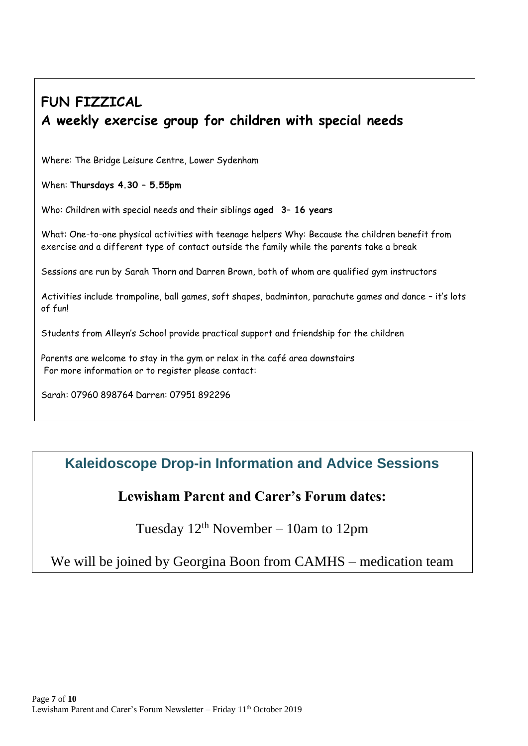# **FUN FIZZICAL A weekly exercise group for children with special needs**

Where: The Bridge Leisure Centre, Lower Sydenham

When: **Thursdays 4.30 – 5.55pm**

Who: Children with special needs and their siblings **aged 3– 16 years**

What: One-to-one physical activities with teenage helpers Why: Because the children benefit from exercise and a different type of contact outside the family while the parents take a break

Sessions are run by Sarah Thorn and Darren Brown, both of whom are qualified gym instructors

Activities include trampoline, ball games, soft shapes, badminton, parachute games and dance – it's lots of fun!

Students from Alleyn's School provide practical support and friendship for the children

Parents are welcome to stay in the gym or relax in the café area downstairs For more information or to register please contact:

Sarah: 07960 898764 Darren: 07951 892296

# **Kaleidoscope Drop-in Information and Advice Sessions**

## **Lewisham Parent and Carer's Forum dates:**

Tuesday  $12<sup>th</sup>$  November – 10am to 12pm

We will be joined by Georgina Boon from CAMHS – medication team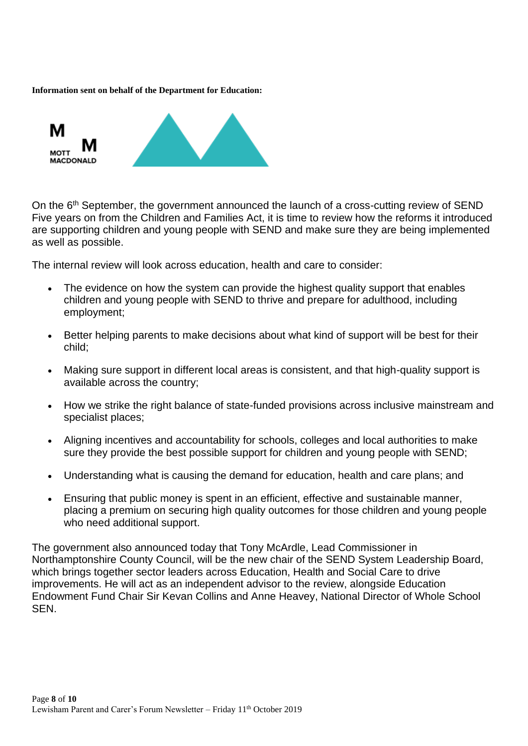#### **Information sent on behalf of the Department for Education:**



On the 6<sup>th</sup> September, the government announced the launch of a cross-cutting review of SEND Five years on from the Children and Families Act, it is time to review how the reforms it introduced are supporting children and young people with SEND and make sure they are being implemented as well as possible.

The internal review will look across education, health and care to consider:

- The evidence on how the system can provide the highest quality support that enables children and young people with SEND to thrive and prepare for adulthood, including employment;
- Better helping parents to make decisions about what kind of support will be best for their child;
- Making sure support in different local areas is consistent, and that high-quality support is available across the country;
- How we strike the right balance of state-funded provisions across inclusive mainstream and specialist places;
- Aligning incentives and accountability for schools, colleges and local authorities to make sure they provide the best possible support for children and young people with SEND;
- Understanding what is causing the demand for education, health and care plans; and
- Ensuring that public money is spent in an efficient, effective and sustainable manner, placing a premium on securing high quality outcomes for those children and young people who need additional support.

The government also announced today that Tony McArdle, Lead Commissioner in Northamptonshire County Council, will be the new chair of the SEND System Leadership Board, which brings together sector leaders across Education, Health and Social Care to drive improvements. He will act as an independent advisor to the review, alongside Education Endowment Fund Chair Sir Kevan Collins and Anne Heavey, National Director of Whole School SEN.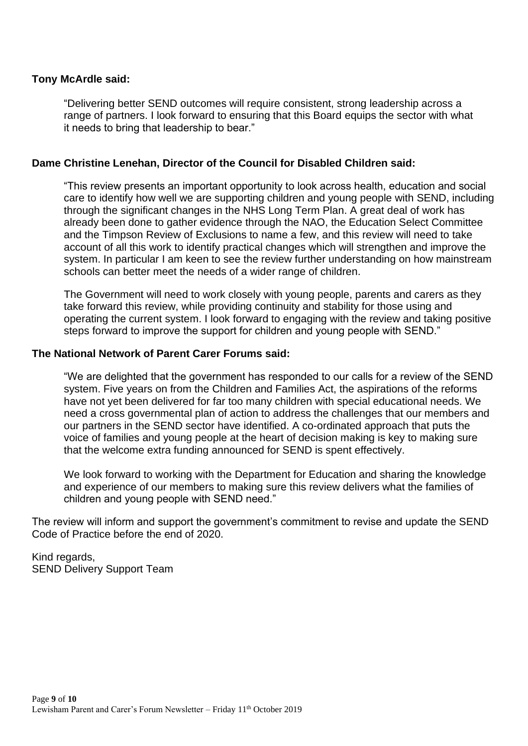#### **Tony McArdle said:**

"Delivering better SEND outcomes will require consistent, strong leadership across a range of partners. I look forward to ensuring that this Board equips the sector with what it needs to bring that leadership to bear."

#### **Dame Christine Lenehan, Director of the Council for Disabled Children said:**

"This review presents an important opportunity to look across health, education and social care to identify how well we are supporting children and young people with SEND, including through the significant changes in the NHS Long Term Plan. A great deal of work has already been done to gather evidence through the NAO, the Education Select Committee and the Timpson Review of Exclusions to name a few, and this review will need to take account of all this work to identify practical changes which will strengthen and improve the system. In particular I am keen to see the review further understanding on how mainstream schools can better meet the needs of a wider range of children.

The Government will need to work closely with young people, parents and carers as they take forward this review, while providing continuity and stability for those using and operating the current system. I look forward to engaging with the review and taking positive steps forward to improve the support for children and young people with SEND."

#### **The National Network of Parent Carer Forums said:**

"We are delighted that the government has responded to our calls for a review of the SEND system. Five years on from the Children and Families Act, the aspirations of the reforms have not yet been delivered for far too many children with special educational needs. We need a cross governmental plan of action to address the challenges that our members and our partners in the SEND sector have identified. A co-ordinated approach that puts the voice of families and young people at the heart of decision making is key to making sure that the welcome extra funding announced for SEND is spent effectively.

We look forward to working with the Department for Education and sharing the knowledge and experience of our members to making sure this review delivers what the families of children and young people with SEND need."

The review will inform and support the government's commitment to revise and update the SEND Code of Practice before the end of 2020.

Kind regards, SEND Delivery Support Team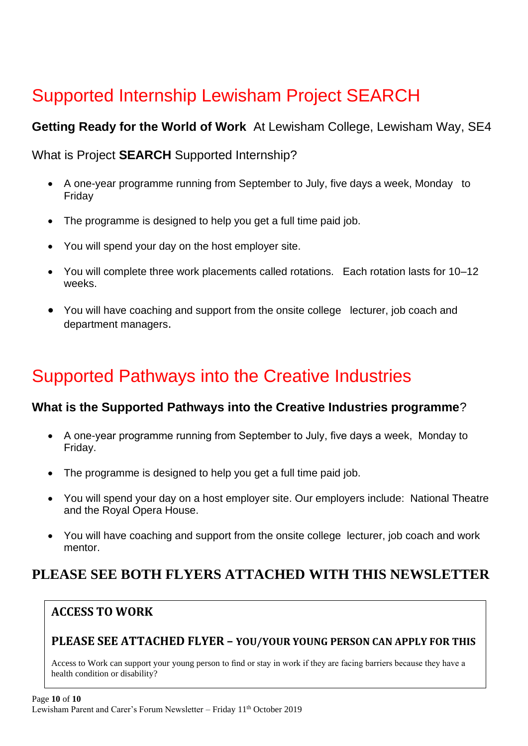# Supported Internship Lewisham Project SEARCH

## **Getting Ready for the World of Work** At Lewisham College, Lewisham Way, SE4

What is Project **SEARCH** Supported Internship?

- A one-year programme running from September to July, five days a week, Monday to Friday
- The programme is designed to help you get a full time paid job.
- You will spend your day on the host employer site.
- You will complete three work placements called rotations. Each rotation lasts for 10–12 weeks.
- You will have coaching and support from the onsite college lecturer, job coach and department managers.

# Supported Pathways into the Creative Industries

### **What is the Supported Pathways into the Creative Industries programme**?

- A one-year programme running from September to July, five days a week, Monday to Friday.
- The programme is designed to help you get a full time paid job.
- You will spend your day on a host employer site. Our employers include: National Theatre and the Royal Opera House.
- You will have coaching and support from the onsite college lecturer, job coach and work mentor.

# **PLEASE SEE BOTH FLYERS ATTACHED WITH THIS NEWSLETTER**

## **ACCESS TO WORK**

### **PLEASE SEE ATTACHED FLYER – YOU/YOUR YOUNG PERSON CAN APPLY FOR THIS**

Access to Work can support your young person to find or stay in work if they are facing barriers because they have a health condition or disability?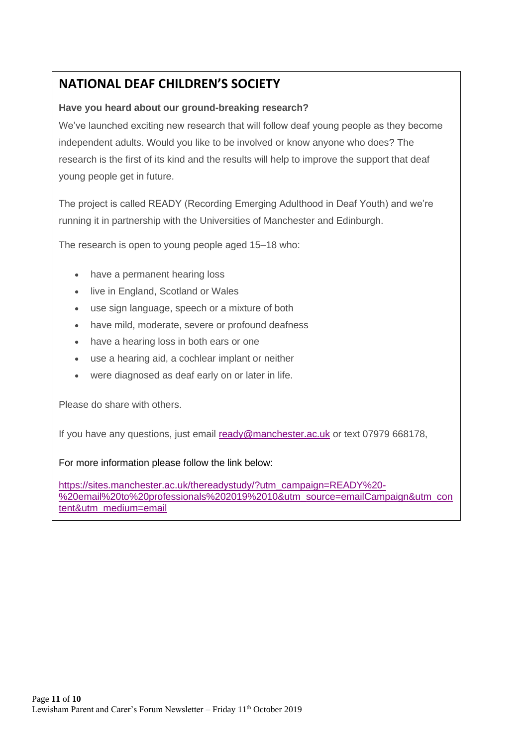## **NATIONAL DEAF CHILDREN'S SOCIETY**

### **Have you heard about our ground-breaking research?**

We've launched exciting new research that will follow deaf young people as they become independent adults. Would you like to be involved or know anyone who does? The research is the first of its kind and the results will help to improve the support that deaf young people get in future.

The project is called READY (Recording Emerging Adulthood in Deaf Youth) and we're running it in partnership with the Universities of Manchester and Edinburgh.

The research is open to young people aged 15–18 who:

- have a permanent hearing loss
- live in England, Scotland or Wales
- use sign language, speech or a mixture of both
- have mild, moderate, severe or profound deafness
- have a hearing loss in both ears or one
- use a hearing aid, a cochlear implant or neither
- were diagnosed as deaf early on or later in life.

Please do share with others.

If you have any questions, just email [ready@manchester.ac.uk](mailto:ready@manchester.ac.uk) or text 07979 668178,

For more information please follow the link below:

[https://sites.manchester.ac.uk/thereadystudy/?utm\\_campaign=READY%20-](https://sites.manchester.ac.uk/thereadystudy/?utm_campaign=READY%20-%20email%20to%20professionals%202019%2010&utm_source=emailCampaign&utm_content&utm_medium=email) [%20email%20to%20professionals%202019%2010&utm\\_source=emailCampaign&utm\\_con](https://sites.manchester.ac.uk/thereadystudy/?utm_campaign=READY%20-%20email%20to%20professionals%202019%2010&utm_source=emailCampaign&utm_content&utm_medium=email) [tent&utm\\_medium=email](https://sites.manchester.ac.uk/thereadystudy/?utm_campaign=READY%20-%20email%20to%20professionals%202019%2010&utm_source=emailCampaign&utm_content&utm_medium=email)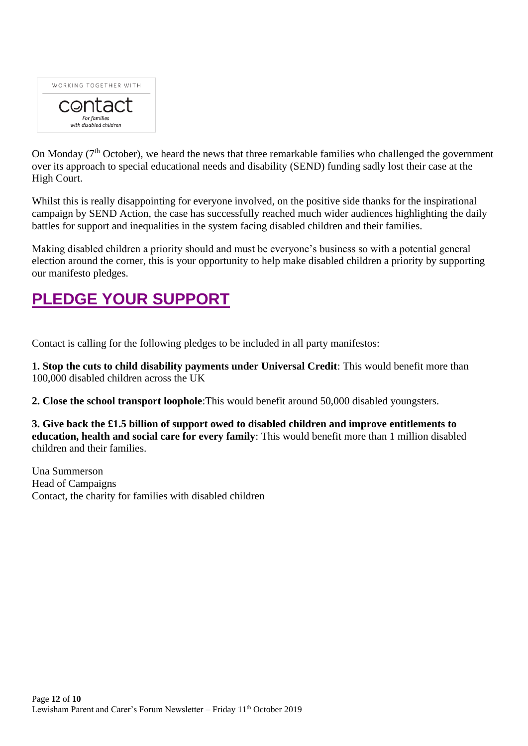

On Monday (7<sup>th</sup> October), we heard the news that three remarkable families who challenged the government over its approach to special educational needs and disability (SEND) funding sadly lost their case at the High Court.

Whilst this is really disappointing for everyone involved, on the positive side thanks for the inspirational campaign by SEND Action, the case has successfully reached much wider audiences highlighting the daily battles for support and inequalities in the system facing disabled children and their families.

Making disabled children a priority should and must be everyone's business so with a potential general election around the corner, this is your opportunity to help make disabled children a priority by supporting our manifesto pledges.

# **[PLEDGE YOUR SUPPORT](https://action.contact.org.uk/page/49406/subscribe/1)**

Contact is calling for the following pledges to be included in all party manifestos:

**1. Stop the cuts to child disability payments under Universal Credit**: This would benefit more than 100,000 disabled children across the UK

**2. Close the school transport loophole**:This would benefit around 50,000 disabled youngsters.

**3. Give back the £1.5 billion of support owed to disabled children and improve entitlements to education, health and social care for every family**: This would benefit more than 1 million disabled children and their families.

Una Summerson Head of Campaigns Contact, the charity for families with disabled children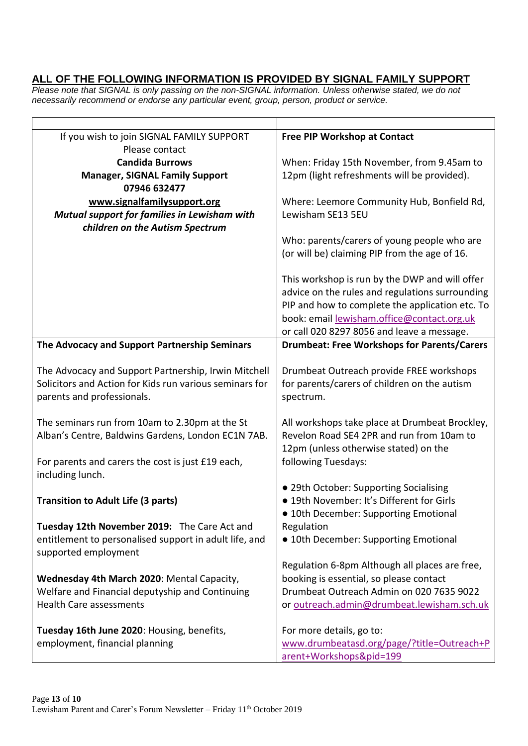### **ALL OF THE FOLLOWING INFORMATION IS PROVIDED BY SIGNAL FAMILY SUPPORT**

*Please note that SIGNAL is only passing on the non-SIGNAL information. Unless otherwise stated, we do not necessarily recommend or endorse any particular event, group, person, product or service.*

| If you wish to join SIGNAL FAMILY SUPPORT               | Free PIP Workshop at Contact                       |
|---------------------------------------------------------|----------------------------------------------------|
| Please contact                                          |                                                    |
| <b>Candida Burrows</b>                                  | When: Friday 15th November, from 9.45am to         |
| <b>Manager, SIGNAL Family Support</b>                   | 12pm (light refreshments will be provided).        |
| 07946 632477                                            |                                                    |
| www.signalfamilysupport.org                             | Where: Leemore Community Hub, Bonfield Rd,         |
| Mutual support for families in Lewisham with            | Lewisham SE13 5EU                                  |
| children on the Autism Spectrum                         |                                                    |
|                                                         | Who: parents/carers of young people who are        |
|                                                         | (or will be) claiming PIP from the age of 16.      |
|                                                         |                                                    |
|                                                         | This workshop is run by the DWP and will offer     |
|                                                         | advice on the rules and regulations surrounding    |
|                                                         | PIP and how to complete the application etc. To    |
|                                                         | book: email lewisham.office@contact.org.uk         |
|                                                         | or call 020 8297 8056 and leave a message.         |
| The Advocacy and Support Partnership Seminars           | <b>Drumbeat: Free Workshops for Parents/Carers</b> |
|                                                         |                                                    |
| The Advocacy and Support Partnership, Irwin Mitchell    | Drumbeat Outreach provide FREE workshops           |
| Solicitors and Action for Kids run various seminars for | for parents/carers of children on the autism       |
| parents and professionals.                              | spectrum.                                          |
|                                                         |                                                    |
| The seminars run from 10am to 2.30pm at the St          | All workshops take place at Drumbeat Brockley,     |
| Alban's Centre, Baldwins Gardens, London EC1N 7AB.      | Revelon Road SE4 2PR and run from 10am to          |
|                                                         | 12pm (unless otherwise stated) on the              |
|                                                         | following Tuesdays:                                |
| For parents and carers the cost is just £19 each,       |                                                    |
| including lunch.                                        |                                                    |
|                                                         | • 29th October: Supporting Socialising             |
| <b>Transition to Adult Life (3 parts)</b>               | · 19th November: It's Different for Girls          |
|                                                         | · 10th December: Supporting Emotional              |
| Tuesday 12th November 2019: The Care Act and            | Regulation                                         |
| entitlement to personalised support in adult life, and  | • 10th December: Supporting Emotional              |
| supported employment                                    |                                                    |
|                                                         | Regulation 6-8pm Although all places are free,     |
| Wednesday 4th March 2020: Mental Capacity,              | booking is essential, so please contact            |
| Welfare and Financial deputyship and Continuing         | Drumbeat Outreach Admin on 020 7635 9022           |
| <b>Health Care assessments</b>                          | or outreach.admin@drumbeat.lewisham.sch.uk         |
|                                                         |                                                    |
| Tuesday 16th June 2020: Housing, benefits,              | For more details, go to:                           |
| employment, financial planning                          | www.drumbeatasd.org/page/?title=Outreach+P         |
|                                                         | arent+Workshops&pid=199                            |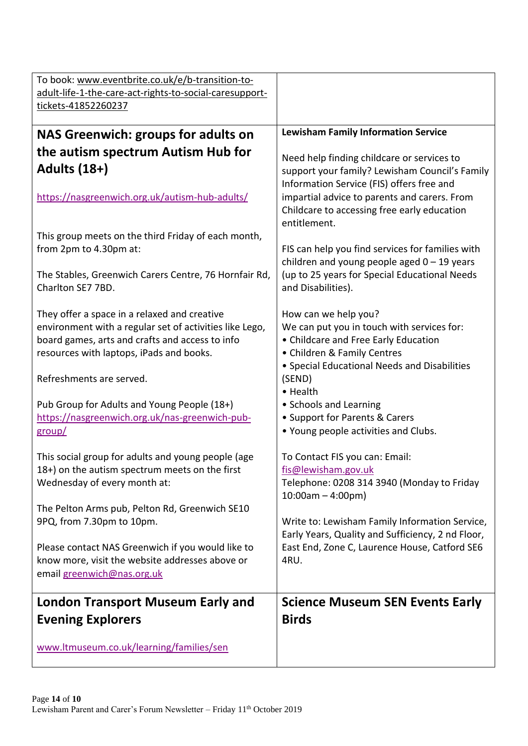| To book: www.eventbrite.co.uk/e/b-transition-to-                           |                                                                                                     |
|----------------------------------------------------------------------------|-----------------------------------------------------------------------------------------------------|
| adult-life-1-the-care-act-rights-to-social-caresupport-                    |                                                                                                     |
| tickets-41852260237                                                        |                                                                                                     |
|                                                                            |                                                                                                     |
| <b>NAS Greenwich: groups for adults on</b>                                 | <b>Lewisham Family Information Service</b>                                                          |
| the autism spectrum Autism Hub for                                         | Need help finding childcare or services to                                                          |
| <b>Adults (18+)</b>                                                        | support your family? Lewisham Council's Family                                                      |
|                                                                            | Information Service (FIS) offers free and                                                           |
| https://nasgreenwich.org.uk/autism-hub-adults/                             | impartial advice to parents and carers. From                                                        |
|                                                                            | Childcare to accessing free early education                                                         |
|                                                                            | entitlement.                                                                                        |
| This group meets on the third Friday of each month,                        |                                                                                                     |
| from 2pm to 4.30pm at:                                                     | FIS can help you find services for families with                                                    |
|                                                                            | children and young people aged $0 - 19$ years                                                       |
| The Stables, Greenwich Carers Centre, 76 Hornfair Rd,<br>Charlton SE7 7BD. | (up to 25 years for Special Educational Needs<br>and Disabilities).                                 |
|                                                                            |                                                                                                     |
| They offer a space in a relaxed and creative                               | How can we help you?                                                                                |
| environment with a regular set of activities like Lego,                    | We can put you in touch with services for:                                                          |
| board games, arts and crafts and access to info                            | • Childcare and Free Early Education                                                                |
| resources with laptops, iPads and books.                                   | • Children & Family Centres                                                                         |
|                                                                            | • Special Educational Needs and Disabilities                                                        |
| Refreshments are served.                                                   | (SEND)                                                                                              |
| Pub Group for Adults and Young People (18+)                                | • Health<br>• Schools and Learning                                                                  |
| https://nasgreenwich.org.uk/nas-greenwich-pub-                             | • Support for Parents & Carers                                                                      |
| group/                                                                     | . Young people activities and Clubs.                                                                |
|                                                                            |                                                                                                     |
| This social group for adults and young people (age                         | To Contact FIS you can: Email:                                                                      |
| 18+) on the autism spectrum meets on the first                             | fis@lewisham.gov.uk                                                                                 |
| Wednesday of every month at:                                               | Telephone: 0208 314 3940 (Monday to Friday                                                          |
|                                                                            | $10:00am - 4:00pm)$                                                                                 |
| The Pelton Arms pub, Pelton Rd, Greenwich SE10                             |                                                                                                     |
| 9PQ, from 7.30pm to 10pm.                                                  | Write to: Lewisham Family Information Service,<br>Early Years, Quality and Sufficiency, 2 nd Floor, |
| Please contact NAS Greenwich if you would like to                          | East End, Zone C, Laurence House, Catford SE6                                                       |
| know more, visit the website addresses above or                            | 4RU.                                                                                                |
| email greenwich@nas.org.uk                                                 |                                                                                                     |
|                                                                            |                                                                                                     |
| <b>London Transport Museum Early and</b>                                   | <b>Science Museum SEN Events Early</b>                                                              |
| <b>Evening Explorers</b>                                                   | <b>Birds</b>                                                                                        |
|                                                                            |                                                                                                     |
| www.ltmuseum.co.uk/learning/families/sen                                   |                                                                                                     |
|                                                                            |                                                                                                     |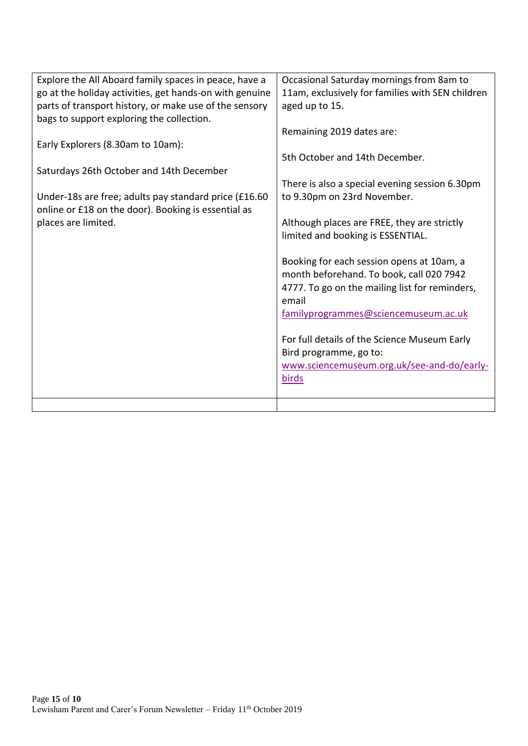| Explore the All Aboard family spaces in peace, have a   | Occasional Saturday mornings from 8am to         |
|---------------------------------------------------------|--------------------------------------------------|
| go at the holiday activities, get hands-on with genuine | 11am, exclusively for families with SEN children |
| parts of transport history, or make use of the sensory  | aged up to 15.                                   |
| bags to support exploring the collection.               |                                                  |
|                                                         | Remaining 2019 dates are:                        |
| Early Explorers (8.30am to 10am):                       |                                                  |
|                                                         | 5th October and 14th December.                   |
| Saturdays 26th October and 14th December                |                                                  |
|                                                         | There is also a special evening session 6.30pm   |
| Under-18s are free; adults pay standard price (£16.60   | to 9.30pm on 23rd November.                      |
| online or £18 on the door). Booking is essential as     |                                                  |
| places are limited.                                     | Although places are FREE, they are strictly      |
|                                                         | limited and booking is ESSENTIAL.                |
|                                                         |                                                  |
|                                                         | Booking for each session opens at 10am, a        |
|                                                         | month beforehand. To book, call 020 7942         |
|                                                         | 4777. To go on the mailing list for reminders,   |
|                                                         | email                                            |
|                                                         | familyprogrammes@sciencemuseum.ac.uk             |
|                                                         |                                                  |
|                                                         | For full details of the Science Museum Early     |
|                                                         | Bird programme, go to:                           |
|                                                         | www.sciencemuseum.org.uk/see-and-do/early-       |
|                                                         | birds                                            |
|                                                         |                                                  |
|                                                         |                                                  |